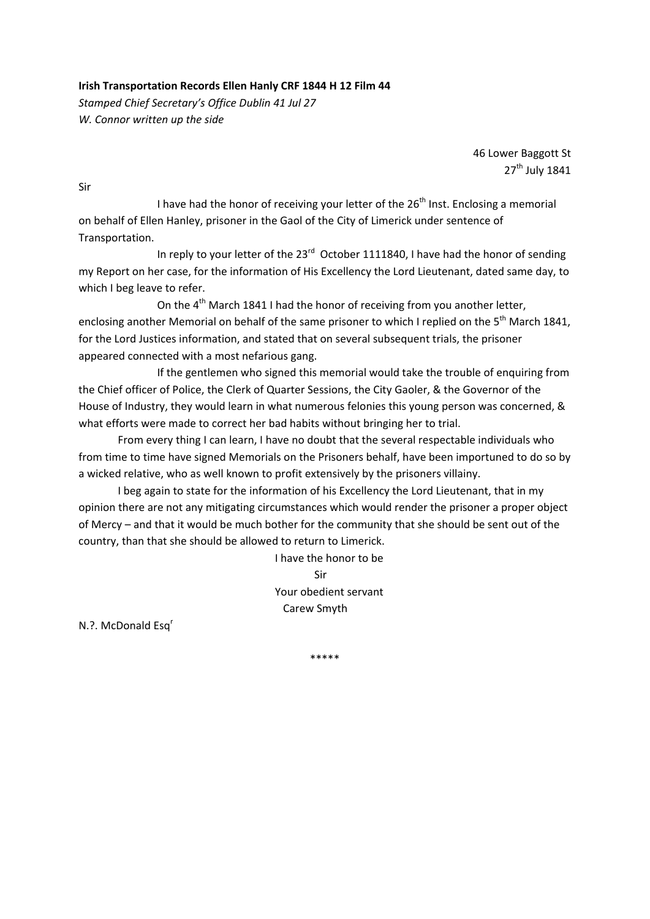## **Irish Transportation Records Ellen Hanly CRF 1844 H 12 Film 44**

*Stamped Chief Secretary's Office Dublin 41 Jul 27 W. Connor written up the side*

> 46 Lower Baggott St 27<sup>th</sup> July 1841

Sir

I have had the honor of receiving your letter of the  $26<sup>th</sup>$  Inst. Enclosing a memorial on behalf of Ellen Hanley, prisoner in the Gaol of the City of Limerick under sentence of Transportation.

In reply to your letter of the  $23^{rd}$  October 1111840, I have had the honor of sending my Report on her case, for the information of His Excellency the Lord Lieutenant, dated same day, to which I beg leave to refer.

On the 4<sup>th</sup> March 1841 I had the honor of receiving from you another letter, enclosing another Memorial on behalf of the same prisoner to which I replied on the 5<sup>th</sup> March 1841. for the Lord Justices information, and stated that on several subsequent trials, the prisoner appeared connected with a most nefarious gang.

 If the gentlemen who signed this memorial would take the trouble of enquiring from the Chief officer of Police, the Clerk of Quarter Sessions, the City Gaoler, & the Governor of the House of Industry, they would learn in what numerous felonies this young person was concerned, & what efforts were made to correct her bad habits without bringing her to trial.

From every thing I can learn, I have no doubt that the several respectable individuals who from time to time have signed Memorials on the Prisoners behalf, have been importuned to do so by a wicked relative, who as well known to profit extensively by the prisoners villainy.

I beg again to state for the information of his Excellency the Lord Lieutenant, that in my opinion there are not any mitigating circumstances which would render the prisoner a proper object of Mercy – and that it would be much bother for the community that she should be sent out of the country, than that she should be allowed to return to Limerick.

 I have the honor to be Sir Your obedient servant Carew Smyth

N.?. McDonald Esq<sup>r</sup>

\*\*\*\*\*